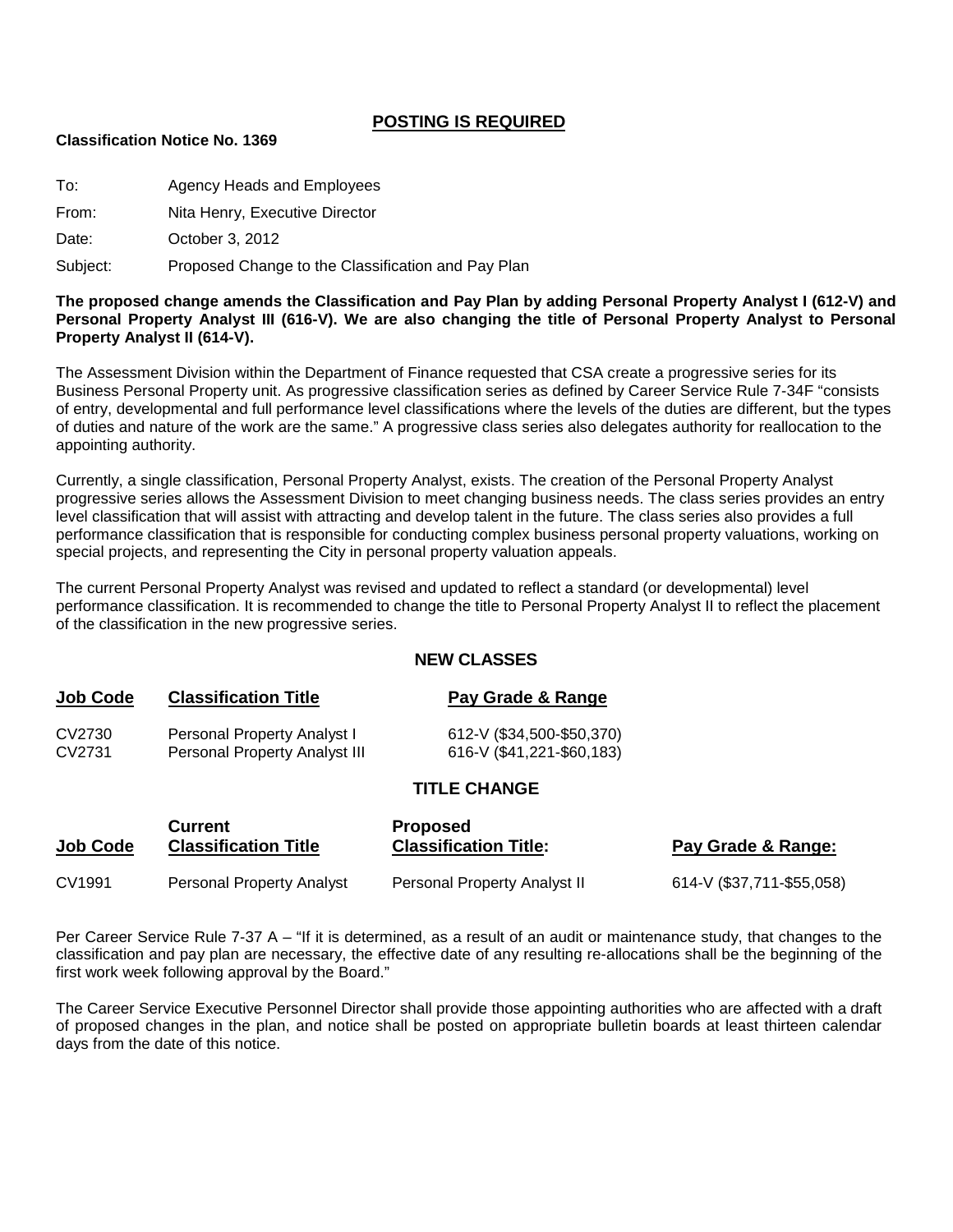#### **POSTING IS REQUIRED**

#### **Classification Notice No. 1369**

To: Agency Heads and Employees

From: Nita Henry, Executive Director

Date: **October 3, 2012** 

Subject: Proposed Change to the Classification and Pay Plan

**The proposed change amends the Classification and Pay Plan by adding Personal Property Analyst I (612-V) and Personal Property Analyst III (616-V). We are also changing the title of Personal Property Analyst to Personal Property Analyst II (614-V).**

The Assessment Division within the Department of Finance requested that CSA create a progressive series for its Business Personal Property unit. As progressive classification series as defined by Career Service Rule 7-34F "consists of entry, developmental and full performance level classifications where the levels of the duties are different, but the types of duties and nature of the work are the same." A progressive class series also delegates authority for reallocation to the appointing authority.

Currently, a single classification, Personal Property Analyst, exists. The creation of the Personal Property Analyst progressive series allows the Assessment Division to meet changing business needs. The class series provides an entry level classification that will assist with attracting and develop talent in the future. The class series also provides a full performance classification that is responsible for conducting complex business personal property valuations, working on special projects, and representing the City in personal property valuation appeals.

The current Personal Property Analyst was revised and updated to reflect a standard (or developmental) level performance classification. It is recommended to change the title to Personal Property Analyst II to reflect the placement of the classification in the new progressive series.

#### **NEW CLASSES**

| <b>Job Code</b> | <b>Classification Title</b>   | Pay Grade & Range         |
|-----------------|-------------------------------|---------------------------|
| CV2730          | Personal Property Analyst I   | 612-V (\$34,500-\$50,370) |
| CV2731          | Personal Property Analyst III | 616-V (\$41,221-\$60,183) |

## **TITLE CHANGE**

| <b>Job Code</b> | <b>Current</b>              | <b>Proposed</b>              | Pay Grade & Range:        |
|-----------------|-----------------------------|------------------------------|---------------------------|
|                 | <b>Classification Title</b> | <b>Classification Title:</b> |                           |
| CV1991          | Personal Property Analyst   | Personal Property Analyst II | 614-V (\$37,711-\$55,058) |

Per Career Service Rule 7-37 A – "If it is determined, as a result of an audit or maintenance study, that changes to the classification and pay plan are necessary, the effective date of any resulting re-allocations shall be the beginning of the first work week following approval by the Board."

The Career Service Executive Personnel Director shall provide those appointing authorities who are affected with a draft of proposed changes in the plan, and notice shall be posted on appropriate bulletin boards at least thirteen calendar days from the date of this notice.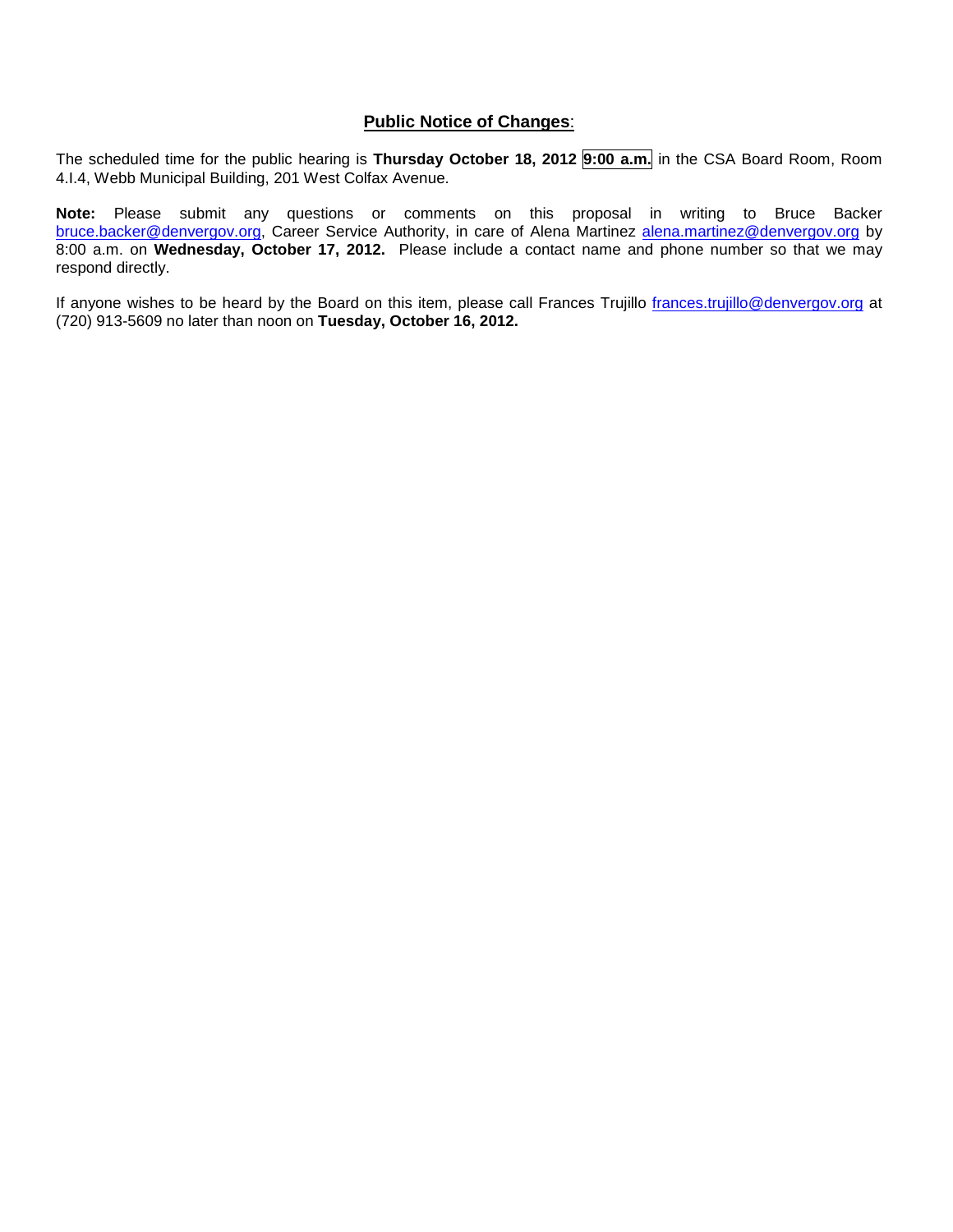#### **Public Notice of Changes**:

The scheduled time for the public hearing is **Thursday October 18, 2012 9:00 a.m.** in the CSA Board Room, Room 4.I.4, Webb Municipal Building, 201 West Colfax Avenue.

**Note:** Please submit any questions or comments on this proposal in writing to Bruce Backer [bruce.backer@denvergov.org,](mailto:bruce.backer@denvergov.org) Career Service Authority, in care of Alena Martinez [alena.martinez@denvergov.org](mailto:alena.martinez@denvergov.org) by 8:00 a.m. on **Wednesday, October 17, 2012.** Please include a contact name and phone number so that we may respond directly.

If anyone wishes to be heard by the Board on this item, please call Frances Trujillo [frances.trujillo@denvergov.org](mailto:frances.trujillo@denvergov.org) at (720) 913-5609 no later than noon on **Tuesday, October 16, 2012.**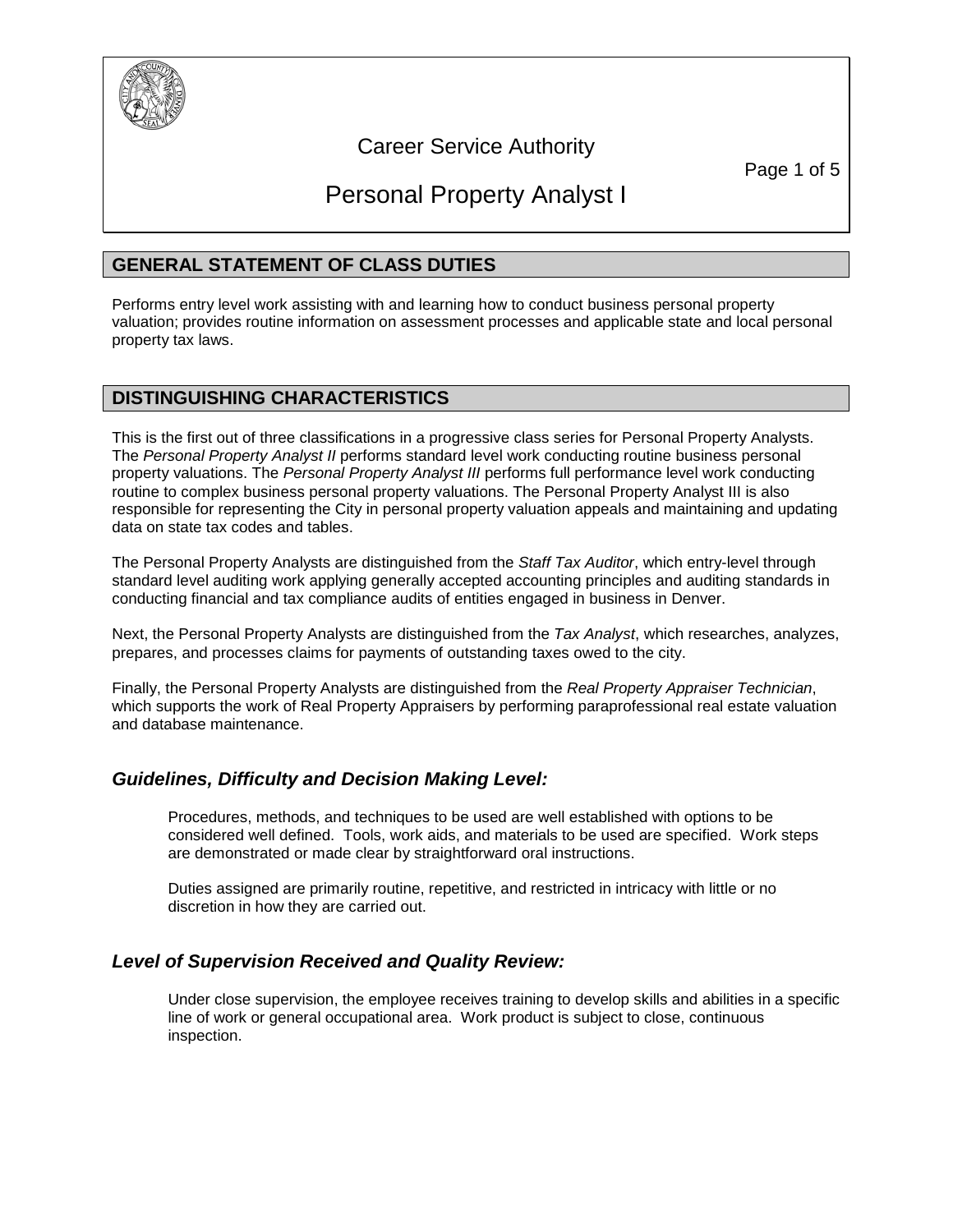

# Career Service Authority

Page 1 of 5

# Personal Property Analyst I

# **GENERAL STATEMENT OF CLASS DUTIES**

Performs entry level work assisting with and learning how to conduct business personal property valuation; provides routine information on assessment processes and applicable state and local personal property tax laws.

### **DISTINGUISHING CHARACTERISTICS**

This is the first out of three classifications in a progressive class series for Personal Property Analysts. The *Personal Property Analyst II* performs standard level work conducting routine business personal property valuations. The *Personal Property Analyst III* performs full performance level work conducting routine to complex business personal property valuations. The Personal Property Analyst III is also responsible for representing the City in personal property valuation appeals and maintaining and updating data on state tax codes and tables.

The Personal Property Analysts are distinguished from the *Staff Tax Auditor*, which entry-level through standard level auditing work applying generally accepted accounting principles and auditing standards in conducting financial and tax compliance audits of entities engaged in business in Denver.

Next, the Personal Property Analysts are distinguished from the *Tax Analyst*, which researches, analyzes, prepares, and processes claims for payments of outstanding taxes owed to the city.

Finally, the Personal Property Analysts are distinguished from the *Real Property Appraiser Technician*, which supports the work of Real Property Appraisers by performing paraprofessional real estate valuation and database maintenance.

### *Guidelines, Difficulty and Decision Making Level:*

Procedures, methods, and techniques to be used are well established with options to be considered well defined. Tools, work aids, and materials to be used are specified. Work steps are demonstrated or made clear by straightforward oral instructions.

Duties assigned are primarily routine, repetitive, and restricted in intricacy with little or no discretion in how they are carried out.

### *Level of Supervision Received and Quality Review:*

Under close supervision, the employee receives training to develop skills and abilities in a specific line of work or general occupational area. Work product is subject to close, continuous inspection.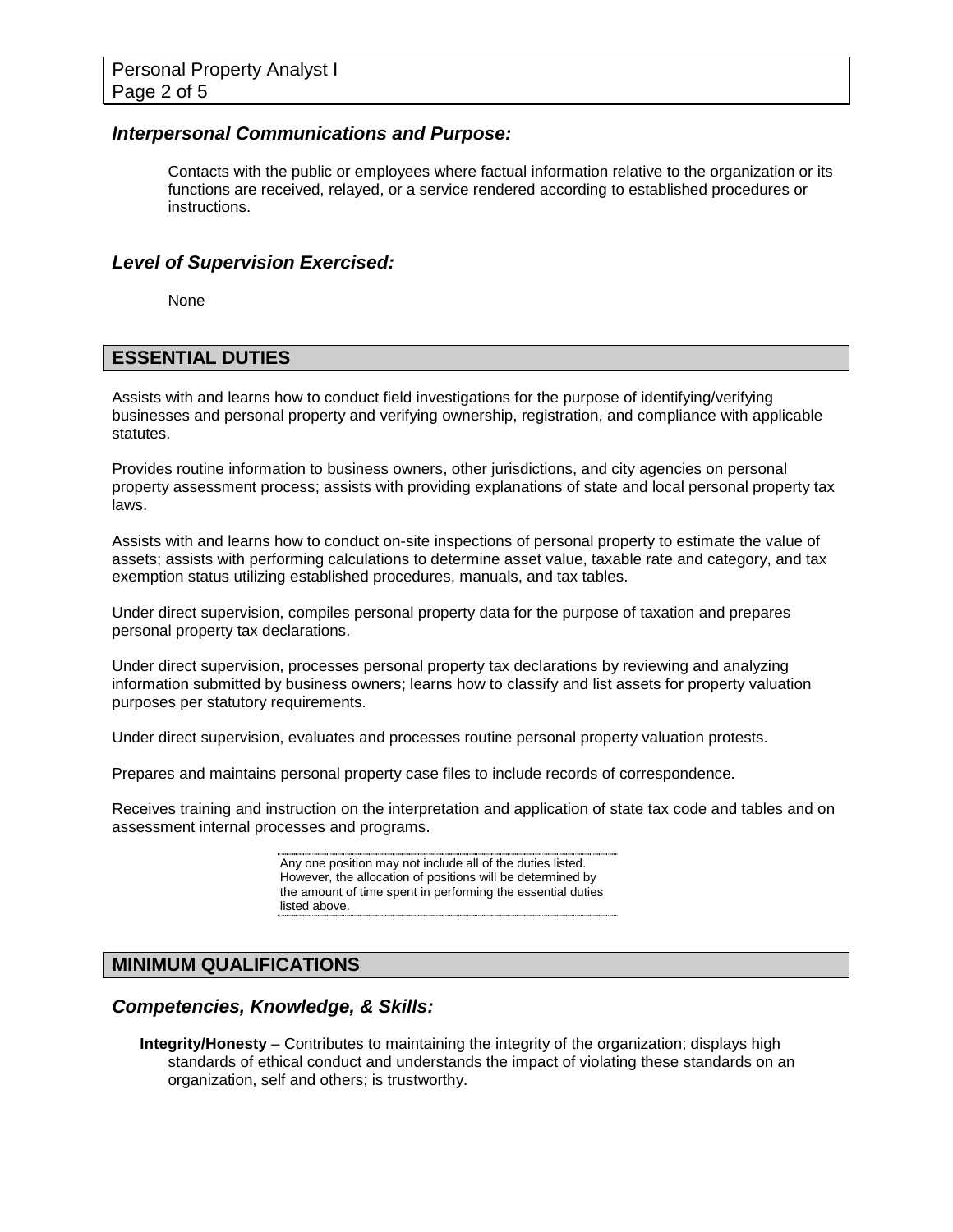#### *Interpersonal Communications and Purpose:*

Contacts with the public or employees where factual information relative to the organization or its functions are received, relayed, or a service rendered according to established procedures or instructions.

#### *Level of Supervision Exercised:*

None

### **ESSENTIAL DUTIES**

Assists with and learns how to conduct field investigations for the purpose of identifying/verifying businesses and personal property and verifying ownership, registration, and compliance with applicable statutes.

Provides routine information to business owners, other jurisdictions, and city agencies on personal property assessment process; assists with providing explanations of state and local personal property tax laws.

Assists with and learns how to conduct on-site inspections of personal property to estimate the value of assets; assists with performing calculations to determine asset value, taxable rate and category, and tax exemption status utilizing established procedures, manuals, and tax tables.

Under direct supervision, compiles personal property data for the purpose of taxation and prepares personal property tax declarations.

Under direct supervision, processes personal property tax declarations by reviewing and analyzing information submitted by business owners; learns how to classify and list assets for property valuation purposes per statutory requirements.

Under direct supervision, evaluates and processes routine personal property valuation protests.

Prepares and maintains personal property case files to include records of correspondence.

Receives training and instruction on the interpretation and application of state tax code and tables and on assessment internal processes and programs.

> Any one position may not include all of the duties listed. However, the allocation of positions will be determined by the amount of time spent in performing the essential duties listed above.

# **MINIMUM QUALIFICATIONS**

#### *Competencies, Knowledge, & Skills:*

**Integrity/Honesty** – Contributes to maintaining the integrity of the organization; displays high standards of ethical conduct and understands the impact of violating these standards on an organization, self and others; is trustworthy.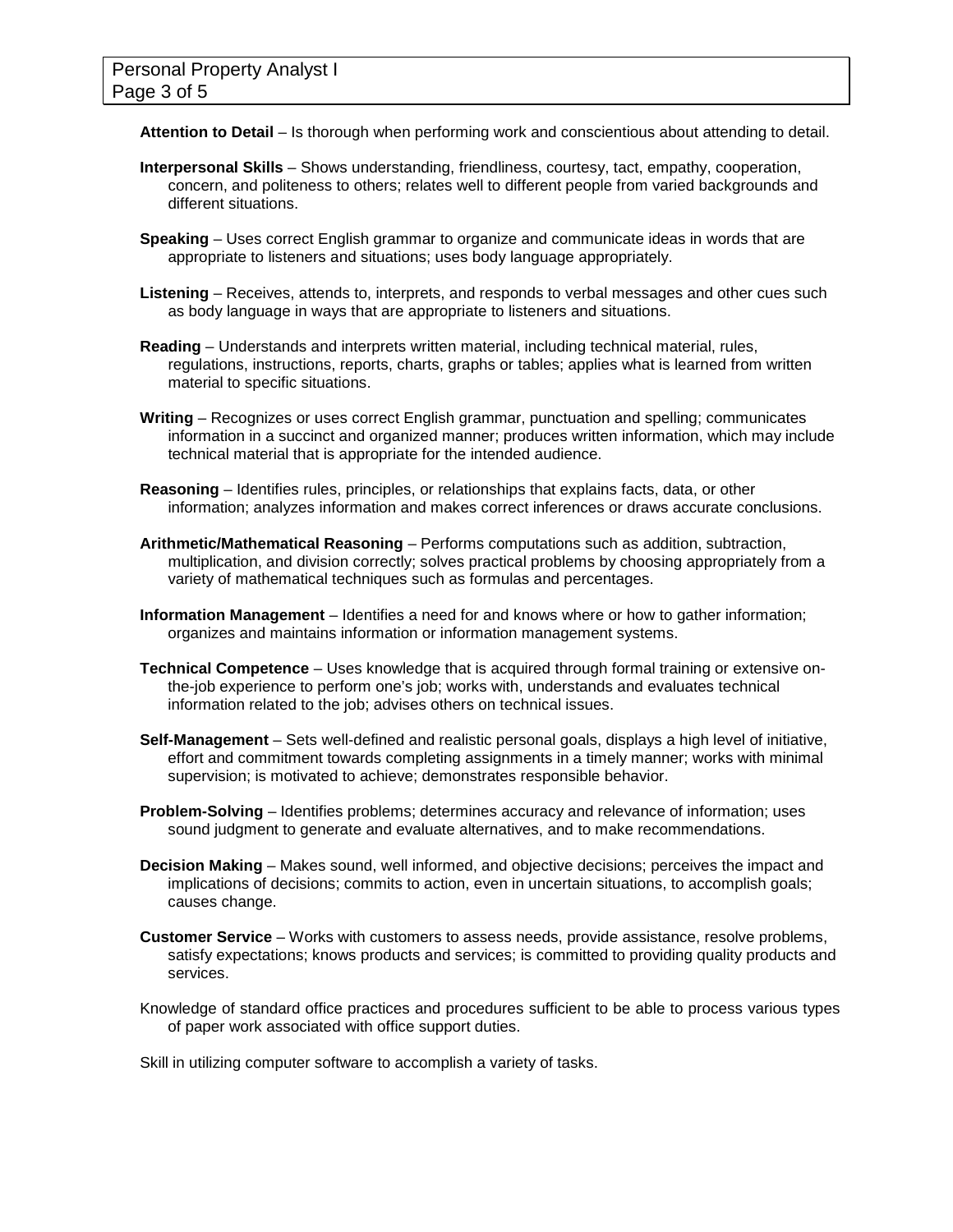**Attention to Detail** – Is thorough when performing work and conscientious about attending to detail.

- **Interpersonal Skills** Shows understanding, friendliness, courtesy, tact, empathy, cooperation, concern, and politeness to others; relates well to different people from varied backgrounds and different situations.
- **Speaking** Uses correct English grammar to organize and communicate ideas in words that are appropriate to listeners and situations; uses body language appropriately.
- **Listening** Receives, attends to, interprets, and responds to verbal messages and other cues such as body language in ways that are appropriate to listeners and situations.
- **Reading** Understands and interprets written material, including technical material, rules, regulations, instructions, reports, charts, graphs or tables; applies what is learned from written material to specific situations.
- **Writing** Recognizes or uses correct English grammar, punctuation and spelling; communicates information in a succinct and organized manner; produces written information, which may include technical material that is appropriate for the intended audience.
- **Reasoning** Identifies rules, principles, or relationships that explains facts, data, or other information; analyzes information and makes correct inferences or draws accurate conclusions.
- **Arithmetic/Mathematical Reasoning** Performs computations such as addition, subtraction, multiplication, and division correctly; solves practical problems by choosing appropriately from a variety of mathematical techniques such as formulas and percentages.
- **Information Management** Identifies a need for and knows where or how to gather information; organizes and maintains information or information management systems.
- **Technical Competence** Uses knowledge that is acquired through formal training or extensive onthe-job experience to perform one's job; works with, understands and evaluates technical information related to the job; advises others on technical issues.
- **Self-Management** Sets well-defined and realistic personal goals, displays a high level of initiative, effort and commitment towards completing assignments in a timely manner; works with minimal supervision; is motivated to achieve; demonstrates responsible behavior.
- **Problem-Solving** Identifies problems; determines accuracy and relevance of information; uses sound judgment to generate and evaluate alternatives, and to make recommendations.
- **Decision Making** Makes sound, well informed, and objective decisions; perceives the impact and implications of decisions; commits to action, even in uncertain situations, to accomplish goals; causes change.
- **Customer Service**  Works with customers to assess needs, provide assistance, resolve problems, satisfy expectations; knows products and services; is committed to providing quality products and services.
- Knowledge of standard office practices and procedures sufficient to be able to process various types of paper work associated with office support duties.

Skill in utilizing computer software to accomplish a variety of tasks.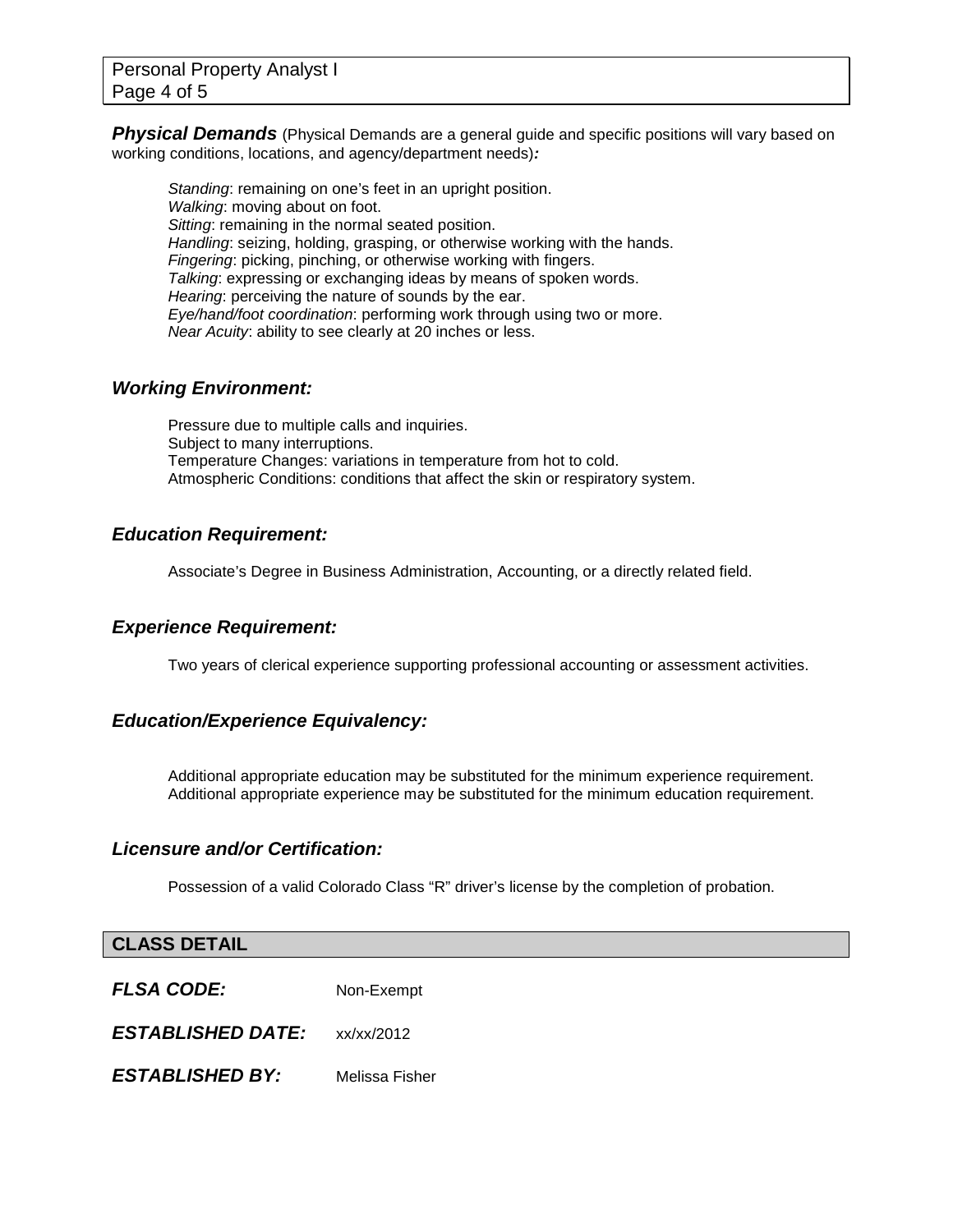**Physical Demands** (Physical Demands are a general guide and specific positions will vary based on working conditions, locations, and agency/department needs)*:*

*Standing*: remaining on one's feet in an upright position. *Walking*: moving about on foot. *Sitting*: remaining in the normal seated position. *Handling*: seizing, holding, grasping, or otherwise working with the hands. *Fingering*: picking, pinching, or otherwise working with fingers. *Talking*: expressing or exchanging ideas by means of spoken words. *Hearing*: perceiving the nature of sounds by the ear. *Eye/hand/foot coordination*: performing work through using two or more. *Near Acuity*: ability to see clearly at 20 inches or less.

#### *Working Environment:*

Pressure due to multiple calls and inquiries. Subject to many interruptions. Temperature Changes: variations in temperature from hot to cold. Atmospheric Conditions: conditions that affect the skin or respiratory system.

### *Education Requirement:*

Associate's Degree in Business Administration, Accounting, or a directly related field.

### *Experience Requirement:*

Two years of clerical experience supporting professional accounting or assessment activities.

### *Education/Experience Equivalency:*

Additional appropriate education may be substituted for the minimum experience requirement. Additional appropriate experience may be substituted for the minimum education requirement.

#### *Licensure and/or Certification:*

Possession of a valid Colorado Class "R" driver's license by the completion of probation.

#### **CLASS DETAIL**

| <b>FLSA CODE:</b>        | Non-Exempt     |
|--------------------------|----------------|
| <b>ESTABLISHED DATE:</b> | xx/xx/2012     |
| <b>ESTABLISHED BY:</b>   | Melissa Fisher |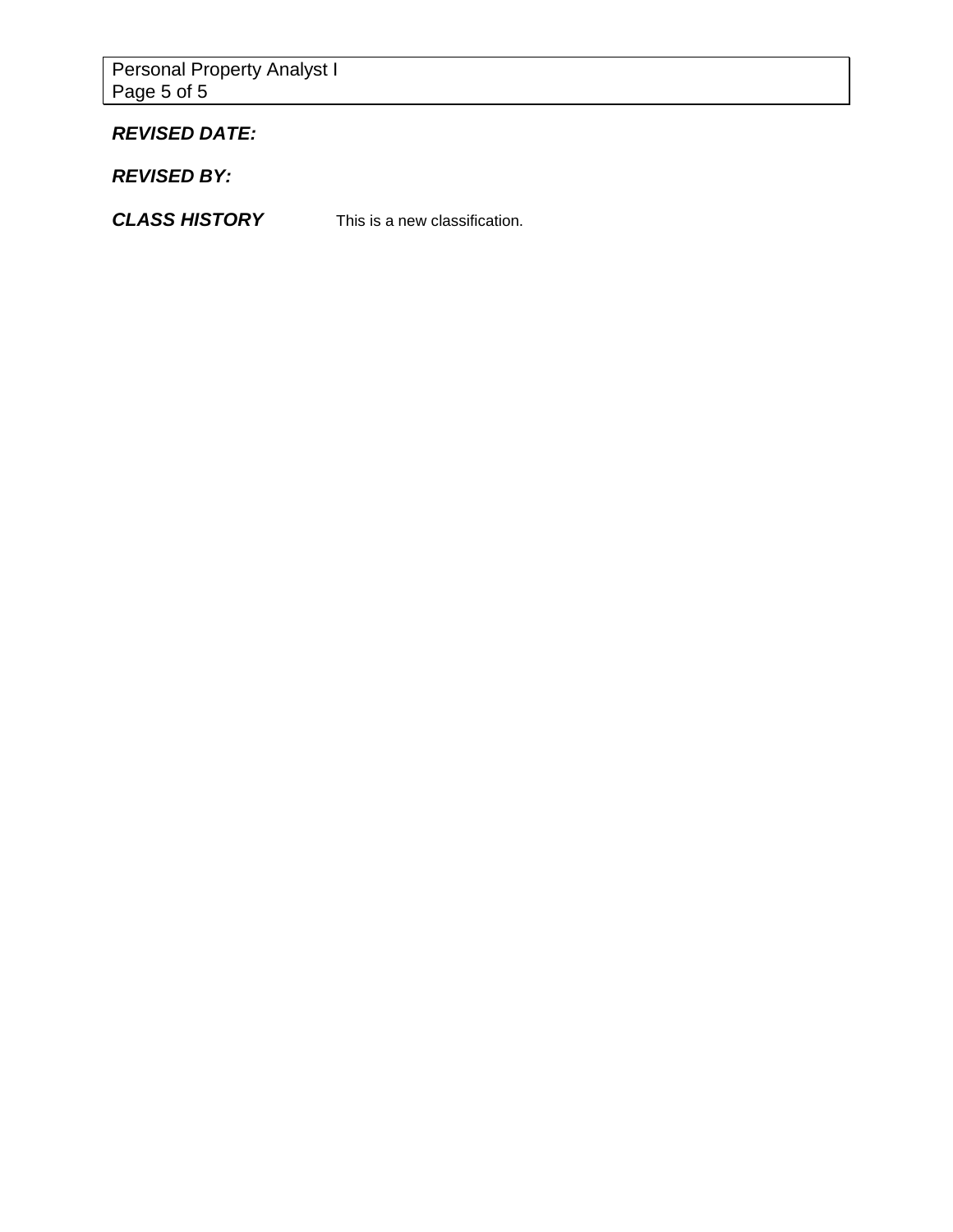Personal Property Analyst I Page 5 of 5

# *REVISED DATE:*

*REVISED BY:*

*CLASS HISTORY* This is a new classification.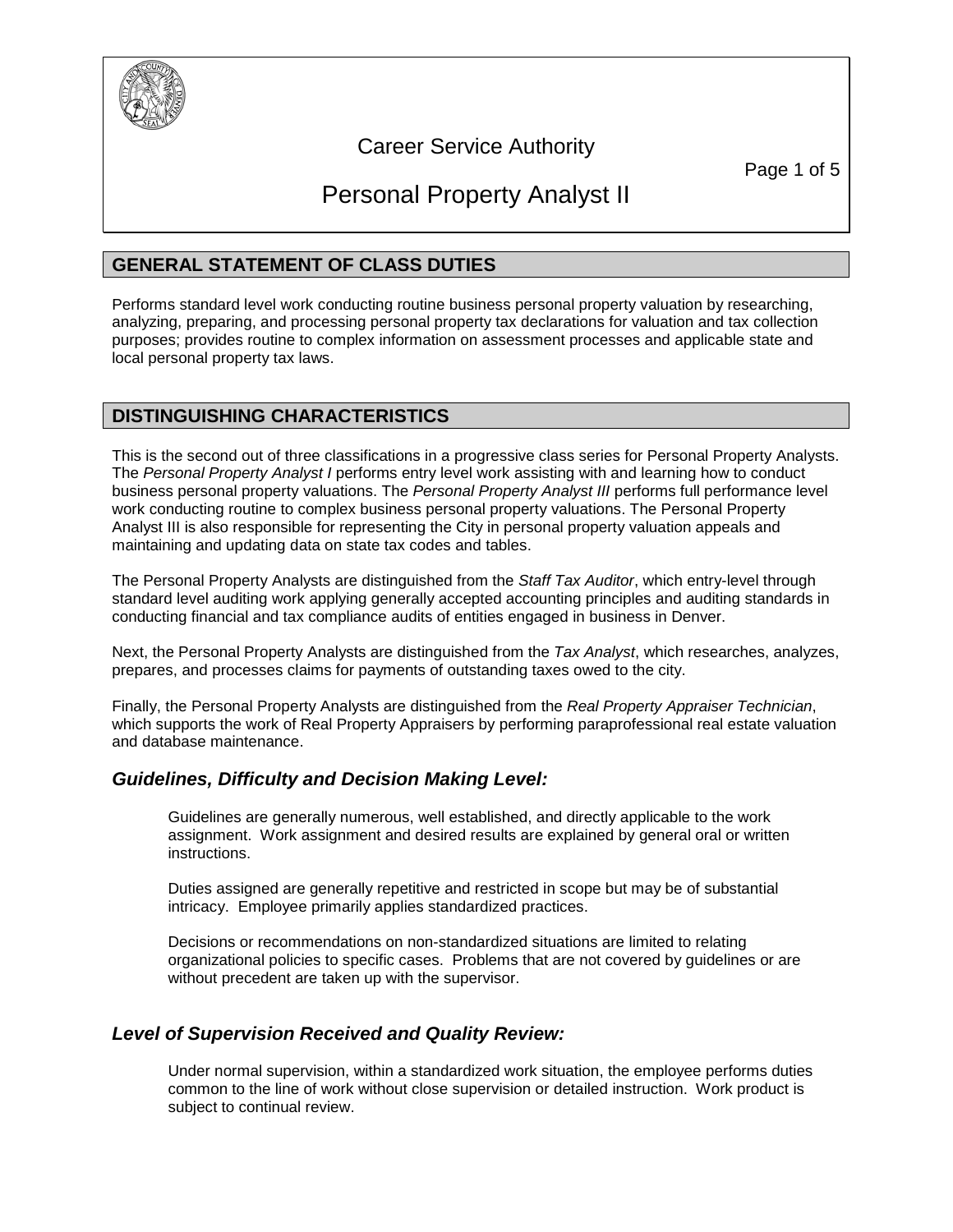

# Career Service Authority

Page 1 of 5

# Personal Property Analyst II

# **GENERAL STATEMENT OF CLASS DUTIES**

Performs standard level work conducting routine business personal property valuation by researching, analyzing, preparing, and processing personal property tax declarations for valuation and tax collection purposes; provides routine to complex information on assessment processes and applicable state and local personal property tax laws.

# **DISTINGUISHING CHARACTERISTICS**

This is the second out of three classifications in a progressive class series for Personal Property Analysts. The *Personal Property Analyst I* performs entry level work assisting with and learning how to conduct business personal property valuations. The *Personal Property Analyst III* performs full performance level work conducting routine to complex business personal property valuations. The Personal Property Analyst III is also responsible for representing the City in personal property valuation appeals and maintaining and updating data on state tax codes and tables.

The Personal Property Analysts are distinguished from the *Staff Tax Auditor*, which entry-level through standard level auditing work applying generally accepted accounting principles and auditing standards in conducting financial and tax compliance audits of entities engaged in business in Denver.

Next, the Personal Property Analysts are distinguished from the *Tax Analyst*, which researches, analyzes, prepares, and processes claims for payments of outstanding taxes owed to the city.

Finally, the Personal Property Analysts are distinguished from the *Real Property Appraiser Technician*, which supports the work of Real Property Appraisers by performing paraprofessional real estate valuation and database maintenance.

### *Guidelines, Difficulty and Decision Making Level:*

Guidelines are generally numerous, well established, and directly applicable to the work assignment. Work assignment and desired results are explained by general oral or written instructions.

Duties assigned are generally repetitive and restricted in scope but may be of substantial intricacy. Employee primarily applies standardized practices.

Decisions or recommendations on non-standardized situations are limited to relating organizational policies to specific cases. Problems that are not covered by guidelines or are without precedent are taken up with the supervisor.

### *Level of Supervision Received and Quality Review:*

Under normal supervision, within a standardized work situation, the employee performs duties common to the line of work without close supervision or detailed instruction. Work product is subject to continual review.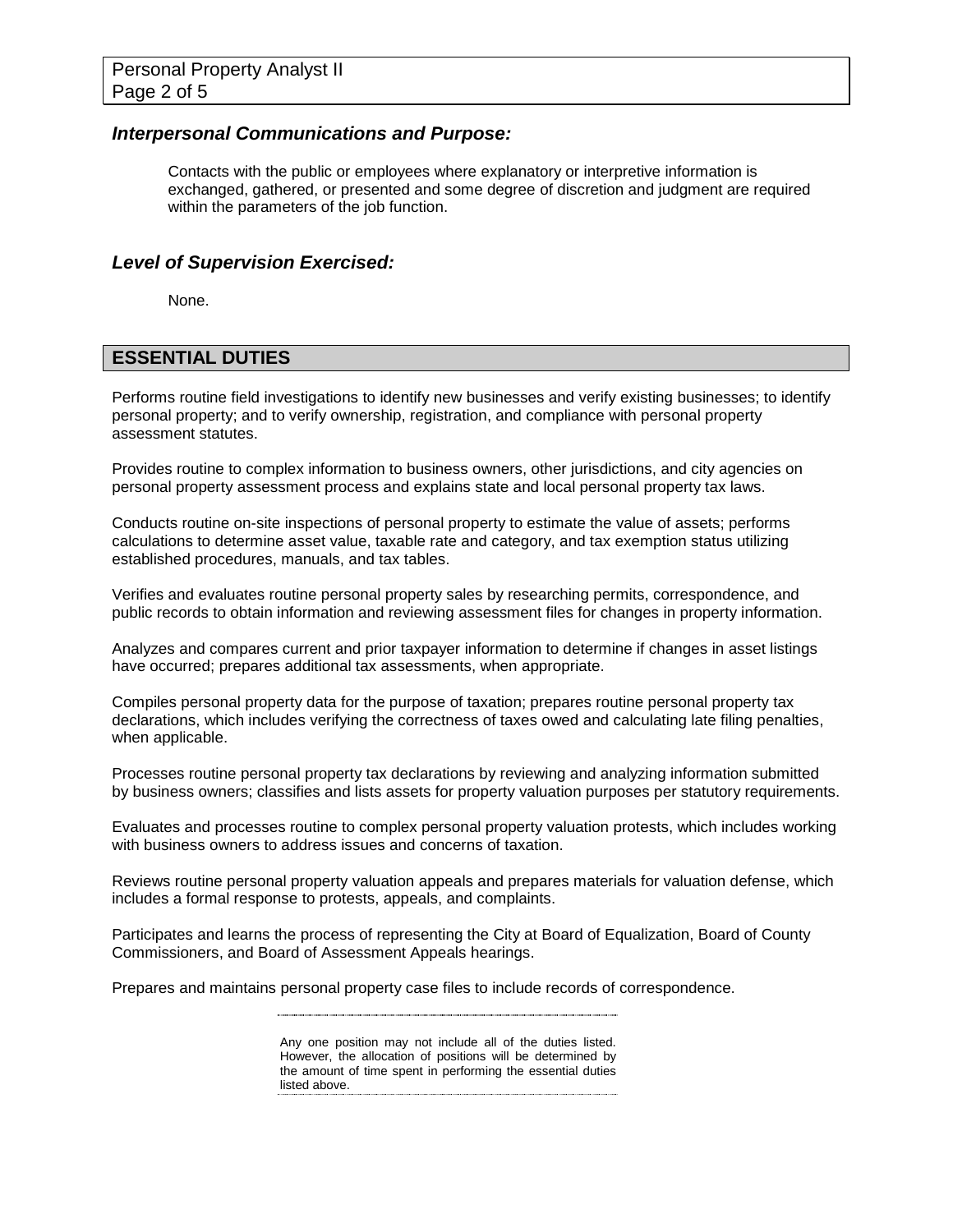#### *Interpersonal Communications and Purpose:*

Contacts with the public or employees where explanatory or interpretive information is exchanged, gathered, or presented and some degree of discretion and judgment are required within the parameters of the job function.

#### *Level of Supervision Exercised:*

None.

### **ESSENTIAL DUTIES**

Performs routine field investigations to identify new businesses and verify existing businesses; to identify personal property; and to verify ownership, registration, and compliance with personal property assessment statutes.

Provides routine to complex information to business owners, other jurisdictions, and city agencies on personal property assessment process and explains state and local personal property tax laws.

Conducts routine on-site inspections of personal property to estimate the value of assets; performs calculations to determine asset value, taxable rate and category, and tax exemption status utilizing established procedures, manuals, and tax tables.

Verifies and evaluates routine personal property sales by researching permits, correspondence, and public records to obtain information and reviewing assessment files for changes in property information.

Analyzes and compares current and prior taxpayer information to determine if changes in asset listings have occurred; prepares additional tax assessments, when appropriate.

Compiles personal property data for the purpose of taxation; prepares routine personal property tax declarations, which includes verifying the correctness of taxes owed and calculating late filing penalties, when applicable.

Processes routine personal property tax declarations by reviewing and analyzing information submitted by business owners; classifies and lists assets for property valuation purposes per statutory requirements.

Evaluates and processes routine to complex personal property valuation protests, which includes working with business owners to address issues and concerns of taxation.

Reviews routine personal property valuation appeals and prepares materials for valuation defense, which includes a formal response to protests, appeals, and complaints.

Participates and learns the process of representing the City at Board of Equalization, Board of County Commissioners, and Board of Assessment Appeals hearings.

Prepares and maintains personal property case files to include records of correspondence.

#### 

Any one position may not include all of the duties listed. However, the allocation of positions will be determined by the amount of time spent in performing the essential duties listed above.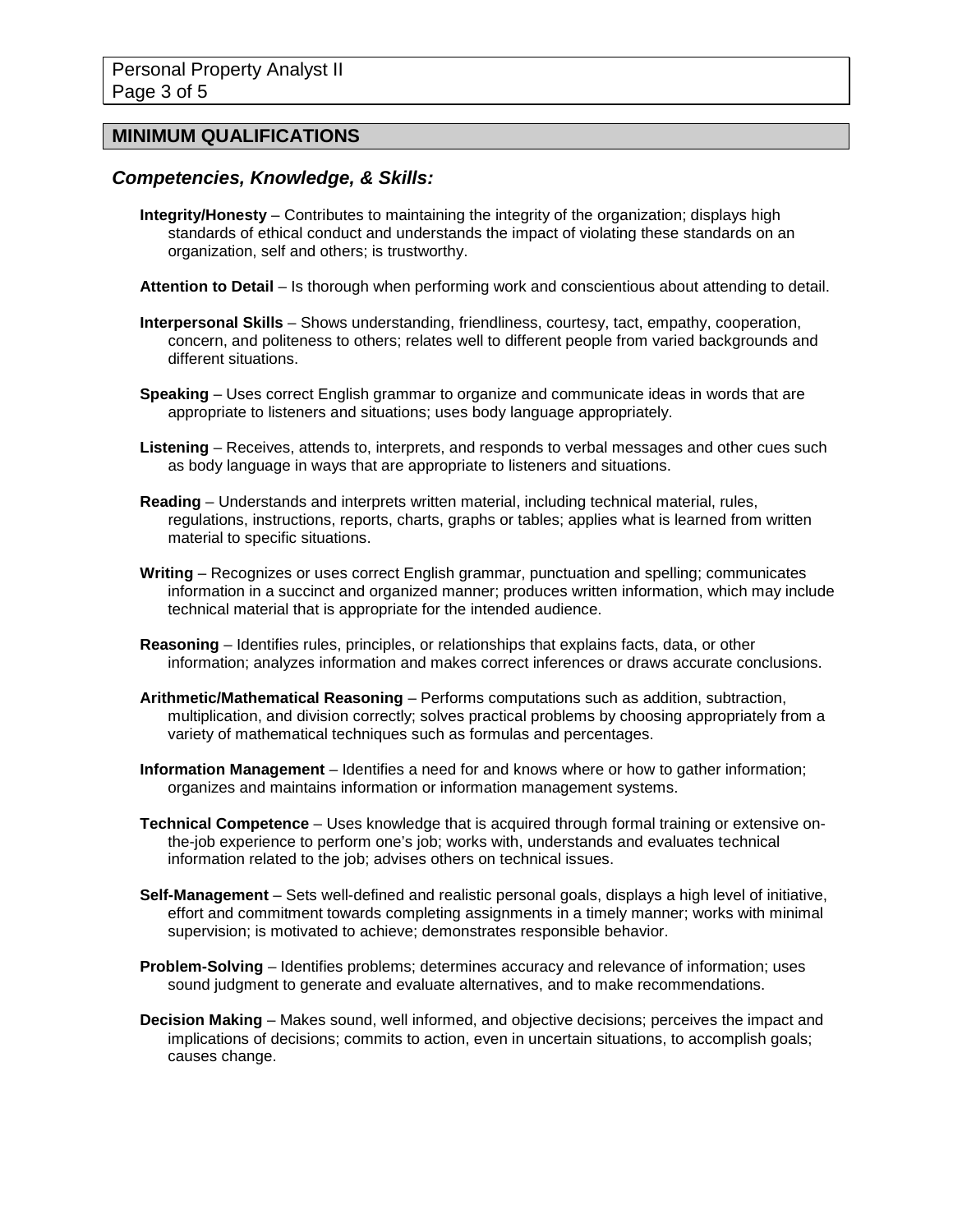## **MINIMUM QUALIFICATIONS**

#### *Competencies, Knowledge, & Skills:*

- **Integrity/Honesty** Contributes to maintaining the integrity of the organization; displays high standards of ethical conduct and understands the impact of violating these standards on an organization, self and others; is trustworthy.
- **Attention to Detail** Is thorough when performing work and conscientious about attending to detail.
- **Interpersonal Skills** Shows understanding, friendliness, courtesy, tact, empathy, cooperation, concern, and politeness to others; relates well to different people from varied backgrounds and different situations.
- **Speaking** Uses correct English grammar to organize and communicate ideas in words that are appropriate to listeners and situations; uses body language appropriately.
- **Listening** Receives, attends to, interprets, and responds to verbal messages and other cues such as body language in ways that are appropriate to listeners and situations.
- **Reading** Understands and interprets written material, including technical material, rules, regulations, instructions, reports, charts, graphs or tables; applies what is learned from written material to specific situations.
- **Writing** Recognizes or uses correct English grammar, punctuation and spelling; communicates information in a succinct and organized manner; produces written information, which may include technical material that is appropriate for the intended audience.
- **Reasoning** Identifies rules, principles, or relationships that explains facts, data, or other information; analyzes information and makes correct inferences or draws accurate conclusions.
- **Arithmetic/Mathematical Reasoning** Performs computations such as addition, subtraction, multiplication, and division correctly; solves practical problems by choosing appropriately from a variety of mathematical techniques such as formulas and percentages.
- **Information Management** Identifies a need for and knows where or how to gather information; organizes and maintains information or information management systems.
- **Technical Competence** Uses knowledge that is acquired through formal training or extensive onthe-job experience to perform one's job; works with, understands and evaluates technical information related to the job; advises others on technical issues.
- **Self-Management** Sets well-defined and realistic personal goals, displays a high level of initiative, effort and commitment towards completing assignments in a timely manner; works with minimal supervision; is motivated to achieve; demonstrates responsible behavior.
- **Problem-Solving** Identifies problems; determines accuracy and relevance of information; uses sound judgment to generate and evaluate alternatives, and to make recommendations.
- **Decision Making** Makes sound, well informed, and objective decisions; perceives the impact and implications of decisions; commits to action, even in uncertain situations, to accomplish goals; causes change.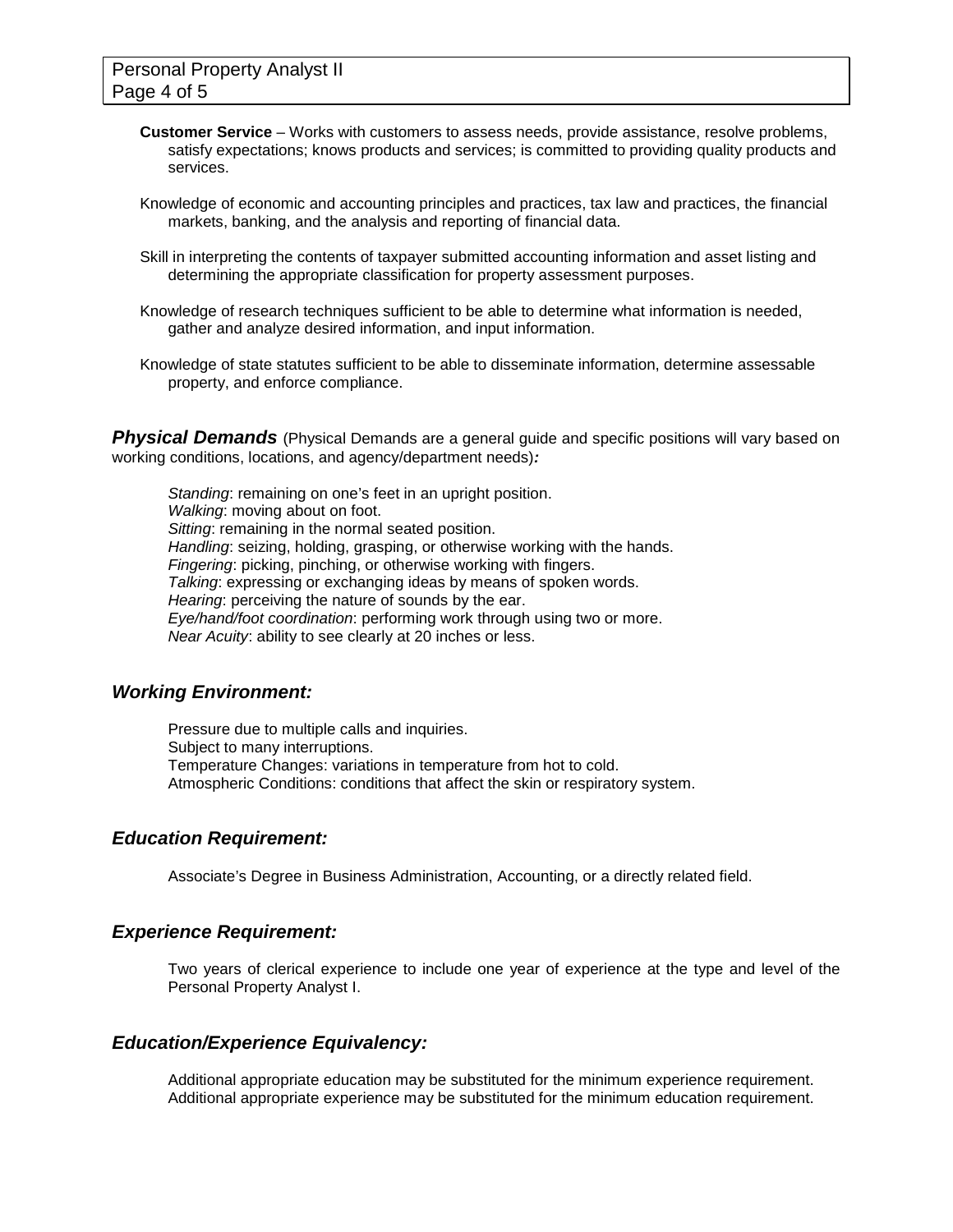- **Customer Service**  Works with customers to assess needs, provide assistance, resolve problems, satisfy expectations; knows products and services; is committed to providing quality products and services.
- Knowledge of economic and accounting principles and practices, tax law and practices, the financial markets, banking, and the analysis and reporting of financial data.
- Skill in interpreting the contents of taxpayer submitted accounting information and asset listing and determining the appropriate classification for property assessment purposes.
- Knowledge of research techniques sufficient to be able to determine what information is needed, gather and analyze desired information, and input information.
- Knowledge of state statutes sufficient to be able to disseminate information, determine assessable property, and enforce compliance.

**Physical Demands** (Physical Demands are a general guide and specific positions will vary based on working conditions, locations, and agency/department needs)*:*

*Standing*: remaining on one's feet in an upright position. *Walking*: moving about on foot. *Sitting*: remaining in the normal seated position. *Handling*: seizing, holding, grasping, or otherwise working with the hands. *Fingering*: picking, pinching, or otherwise working with fingers. *Talking*: expressing or exchanging ideas by means of spoken words. *Hearing*: perceiving the nature of sounds by the ear. *Eye/hand/foot coordination*: performing work through using two or more. *Near Acuity*: ability to see clearly at 20 inches or less.

#### *Working Environment:*

Pressure due to multiple calls and inquiries. Subject to many interruptions. Temperature Changes: variations in temperature from hot to cold. Atmospheric Conditions: conditions that affect the skin or respiratory system.

#### *Education Requirement:*

Associate's Degree in Business Administration, Accounting, or a directly related field.

#### *Experience Requirement:*

Two years of clerical experience to include one year of experience at the type and level of the Personal Property Analyst I.

#### *Education/Experience Equivalency:*

Additional appropriate education may be substituted for the minimum experience requirement. Additional appropriate experience may be substituted for the minimum education requirement.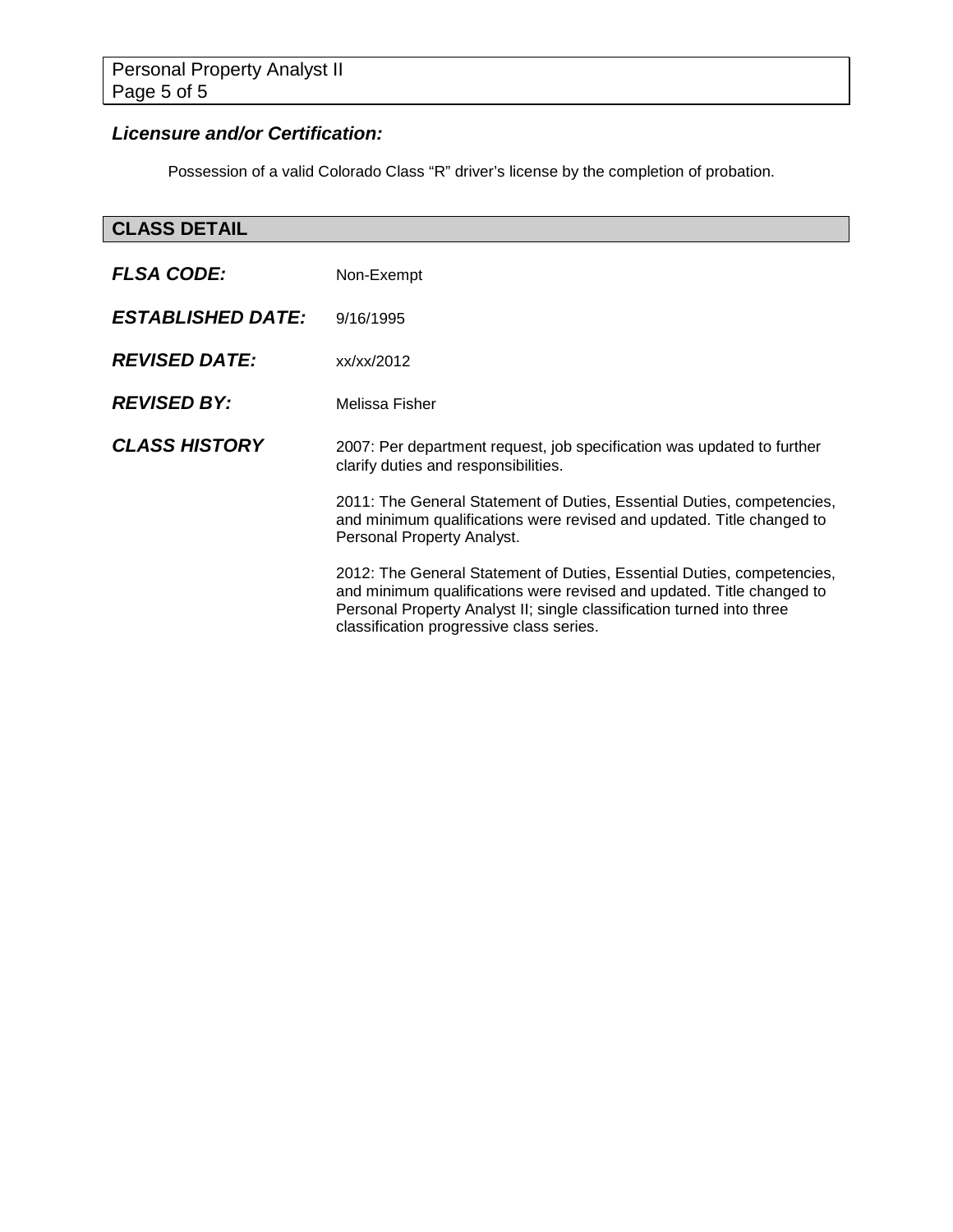# *Licensure and/or Certification:*

Possession of a valid Colorado Class "R" driver's license by the completion of probation.

# **CLASS DETAIL**

| <b>FLSA CODE:</b>        | Non-Exempt                                                                                                                                                                                                                                                           |
|--------------------------|----------------------------------------------------------------------------------------------------------------------------------------------------------------------------------------------------------------------------------------------------------------------|
| <b>ESTABLISHED DATE:</b> | 9/16/1995                                                                                                                                                                                                                                                            |
| <b>REVISED DATE:</b>     | xx/xx/2012                                                                                                                                                                                                                                                           |
| <b>REVISED BY:</b>       | Melissa Fisher                                                                                                                                                                                                                                                       |
| <b>CLASS HISTORY</b>     | 2007: Per department request, job specification was updated to further<br>clarify duties and responsibilities.                                                                                                                                                       |
|                          | 2011: The General Statement of Duties, Essential Duties, competencies,<br>and minimum qualifications were revised and updated. Title changed to<br>Personal Property Analyst.                                                                                        |
|                          | 2012: The General Statement of Duties, Essential Duties, competencies,<br>and minimum qualifications were revised and updated. Title changed to<br>Personal Property Analyst II; single classification turned into three<br>classification progressive class series. |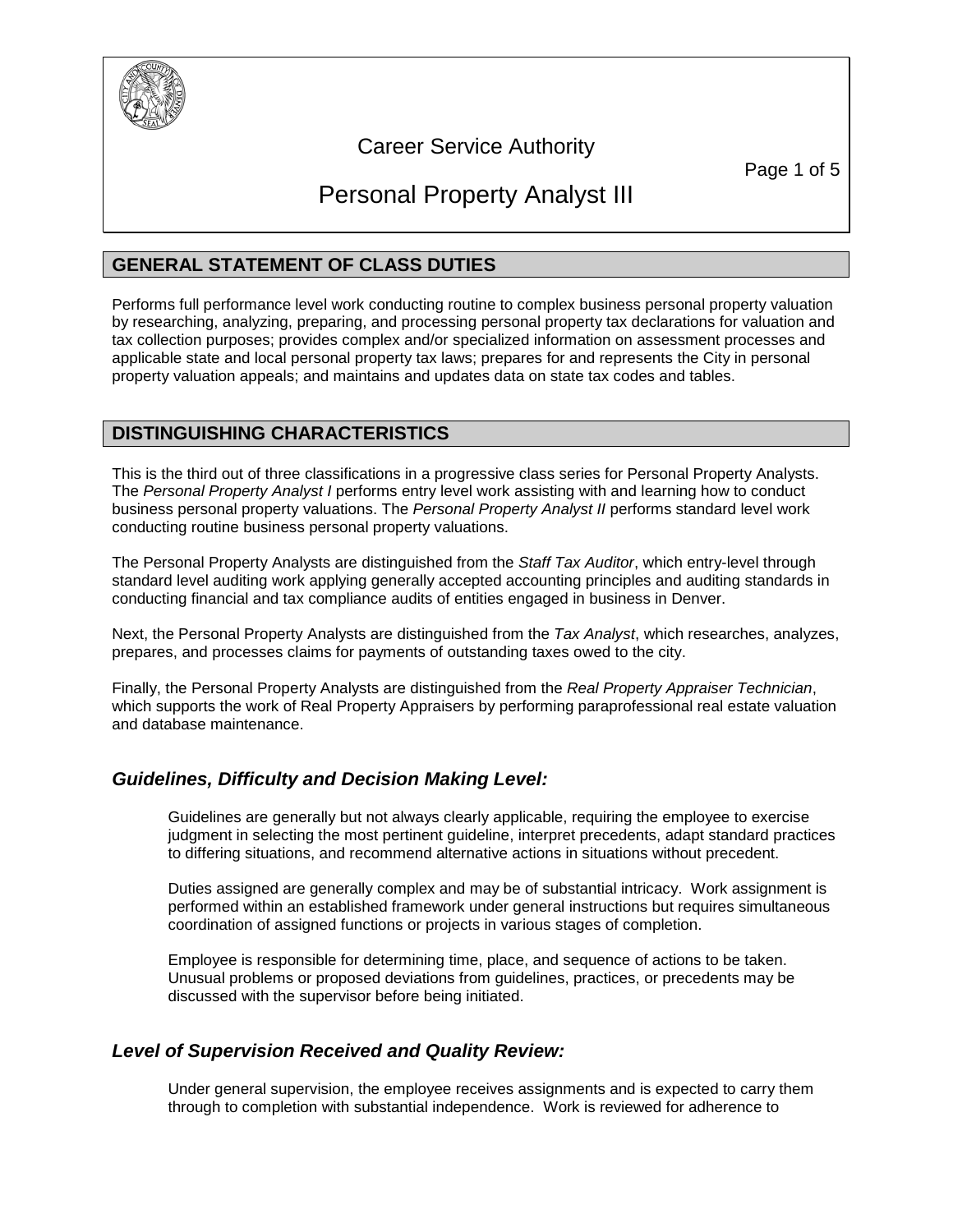

# Career Service Authority

Page 1 of 5

# Personal Property Analyst III

# **GENERAL STATEMENT OF CLASS DUTIES**

Performs full performance level work conducting routine to complex business personal property valuation by researching, analyzing, preparing, and processing personal property tax declarations for valuation and tax collection purposes; provides complex and/or specialized information on assessment processes and applicable state and local personal property tax laws; prepares for and represents the City in personal property valuation appeals; and maintains and updates data on state tax codes and tables.

# **DISTINGUISHING CHARACTERISTICS**

This is the third out of three classifications in a progressive class series for Personal Property Analysts. The *Personal Property Analyst I* performs entry level work assisting with and learning how to conduct business personal property valuations. The *Personal Property Analyst II* performs standard level work conducting routine business personal property valuations.

The Personal Property Analysts are distinguished from the *Staff Tax Auditor*, which entry-level through standard level auditing work applying generally accepted accounting principles and auditing standards in conducting financial and tax compliance audits of entities engaged in business in Denver.

Next, the Personal Property Analysts are distinguished from the *Tax Analyst*, which researches, analyzes, prepares, and processes claims for payments of outstanding taxes owed to the city.

Finally, the Personal Property Analysts are distinguished from the *Real Property Appraiser Technician*, which supports the work of Real Property Appraisers by performing paraprofessional real estate valuation and database maintenance.

### *Guidelines, Difficulty and Decision Making Level:*

Guidelines are generally but not always clearly applicable, requiring the employee to exercise judgment in selecting the most pertinent guideline, interpret precedents, adapt standard practices to differing situations, and recommend alternative actions in situations without precedent.

Duties assigned are generally complex and may be of substantial intricacy. Work assignment is performed within an established framework under general instructions but requires simultaneous coordination of assigned functions or projects in various stages of completion.

Employee is responsible for determining time, place, and sequence of actions to be taken. Unusual problems or proposed deviations from guidelines, practices, or precedents may be discussed with the supervisor before being initiated.

### *Level of Supervision Received and Quality Review:*

Under general supervision, the employee receives assignments and is expected to carry them through to completion with substantial independence. Work is reviewed for adherence to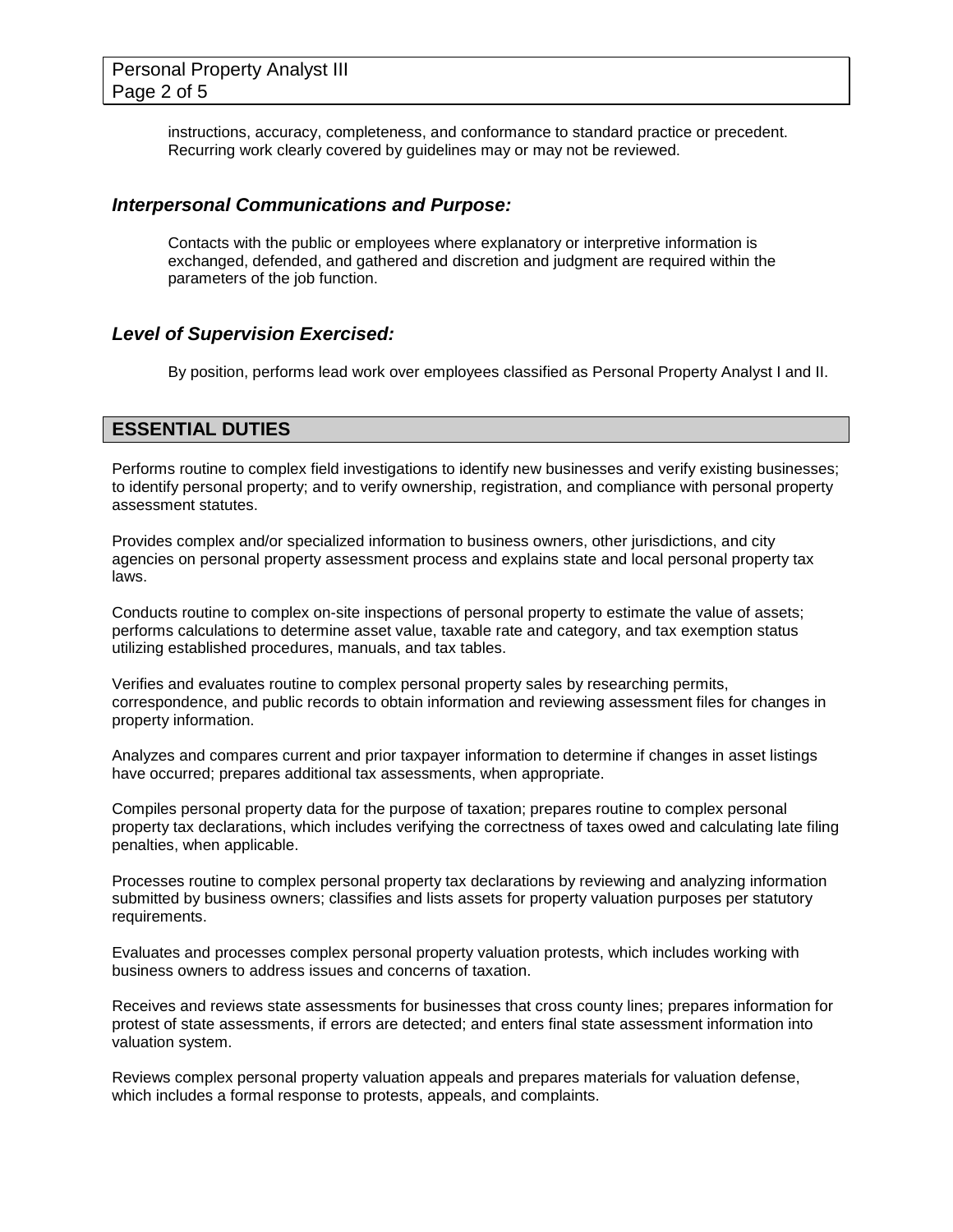instructions, accuracy, completeness, and conformance to standard practice or precedent. Recurring work clearly covered by guidelines may or may not be reviewed.

#### *Interpersonal Communications and Purpose:*

Contacts with the public or employees where explanatory or interpretive information is exchanged, defended, and gathered and discretion and judgment are required within the parameters of the job function.

#### *Level of Supervision Exercised:*

By position, performs lead work over employees classified as Personal Property Analyst I and II.

## **ESSENTIAL DUTIES**

Performs routine to complex field investigations to identify new businesses and verify existing businesses; to identify personal property; and to verify ownership, registration, and compliance with personal property assessment statutes.

Provides complex and/or specialized information to business owners, other jurisdictions, and city agencies on personal property assessment process and explains state and local personal property tax laws.

Conducts routine to complex on-site inspections of personal property to estimate the value of assets; performs calculations to determine asset value, taxable rate and category, and tax exemption status utilizing established procedures, manuals, and tax tables.

Verifies and evaluates routine to complex personal property sales by researching permits, correspondence, and public records to obtain information and reviewing assessment files for changes in property information.

Analyzes and compares current and prior taxpayer information to determine if changes in asset listings have occurred; prepares additional tax assessments, when appropriate.

Compiles personal property data for the purpose of taxation; prepares routine to complex personal property tax declarations, which includes verifying the correctness of taxes owed and calculating late filing penalties, when applicable.

Processes routine to complex personal property tax declarations by reviewing and analyzing information submitted by business owners; classifies and lists assets for property valuation purposes per statutory requirements.

Evaluates and processes complex personal property valuation protests, which includes working with business owners to address issues and concerns of taxation.

Receives and reviews state assessments for businesses that cross county lines; prepares information for protest of state assessments, if errors are detected; and enters final state assessment information into valuation system.

Reviews complex personal property valuation appeals and prepares materials for valuation defense, which includes a formal response to protests, appeals, and complaints.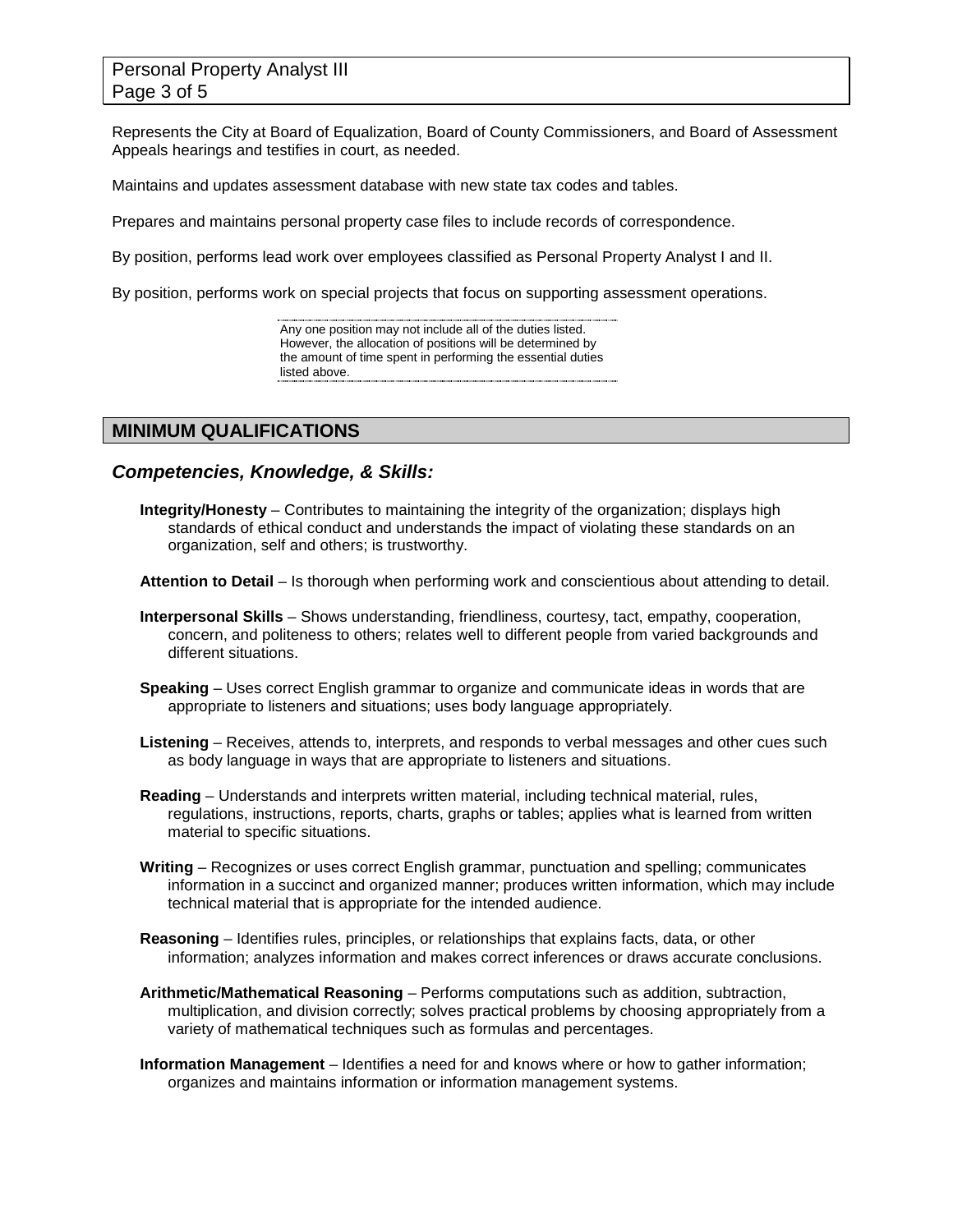# Personal Property Analyst III Page 3 of 5

Represents the City at Board of Equalization, Board of County Commissioners, and Board of Assessment Appeals hearings and testifies in court, as needed.

Maintains and updates assessment database with new state tax codes and tables.

Prepares and maintains personal property case files to include records of correspondence.

By position, performs lead work over employees classified as Personal Property Analyst I and II.

By position, performs work on special projects that focus on supporting assessment operations.

Any one position may not include all of the duties listed. However, the allocation of positions will be determined by the amount of time spent in performing the essential duties listed above. 

#### **MINIMUM QUALIFICATIONS**

#### *Competencies, Knowledge, & Skills:*

**Integrity/Honesty** – Contributes to maintaining the integrity of the organization; displays high standards of ethical conduct and understands the impact of violating these standards on an organization, self and others; is trustworthy.

**Attention to Detail** – Is thorough when performing work and conscientious about attending to detail.

- **Interpersonal Skills** Shows understanding, friendliness, courtesy, tact, empathy, cooperation, concern, and politeness to others; relates well to different people from varied backgrounds and different situations.
- **Speaking** Uses correct English grammar to organize and communicate ideas in words that are appropriate to listeners and situations; uses body language appropriately.
- **Listening** Receives, attends to, interprets, and responds to verbal messages and other cues such as body language in ways that are appropriate to listeners and situations.
- **Reading** Understands and interprets written material, including technical material, rules, regulations, instructions, reports, charts, graphs or tables; applies what is learned from written material to specific situations.
- **Writing** Recognizes or uses correct English grammar, punctuation and spelling; communicates information in a succinct and organized manner; produces written information, which may include technical material that is appropriate for the intended audience.
- **Reasoning** Identifies rules, principles, or relationships that explains facts, data, or other information; analyzes information and makes correct inferences or draws accurate conclusions.
- **Arithmetic/Mathematical Reasoning** Performs computations such as addition, subtraction, multiplication, and division correctly; solves practical problems by choosing appropriately from a variety of mathematical techniques such as formulas and percentages.
- **Information Management** Identifies a need for and knows where or how to gather information; organizes and maintains information or information management systems.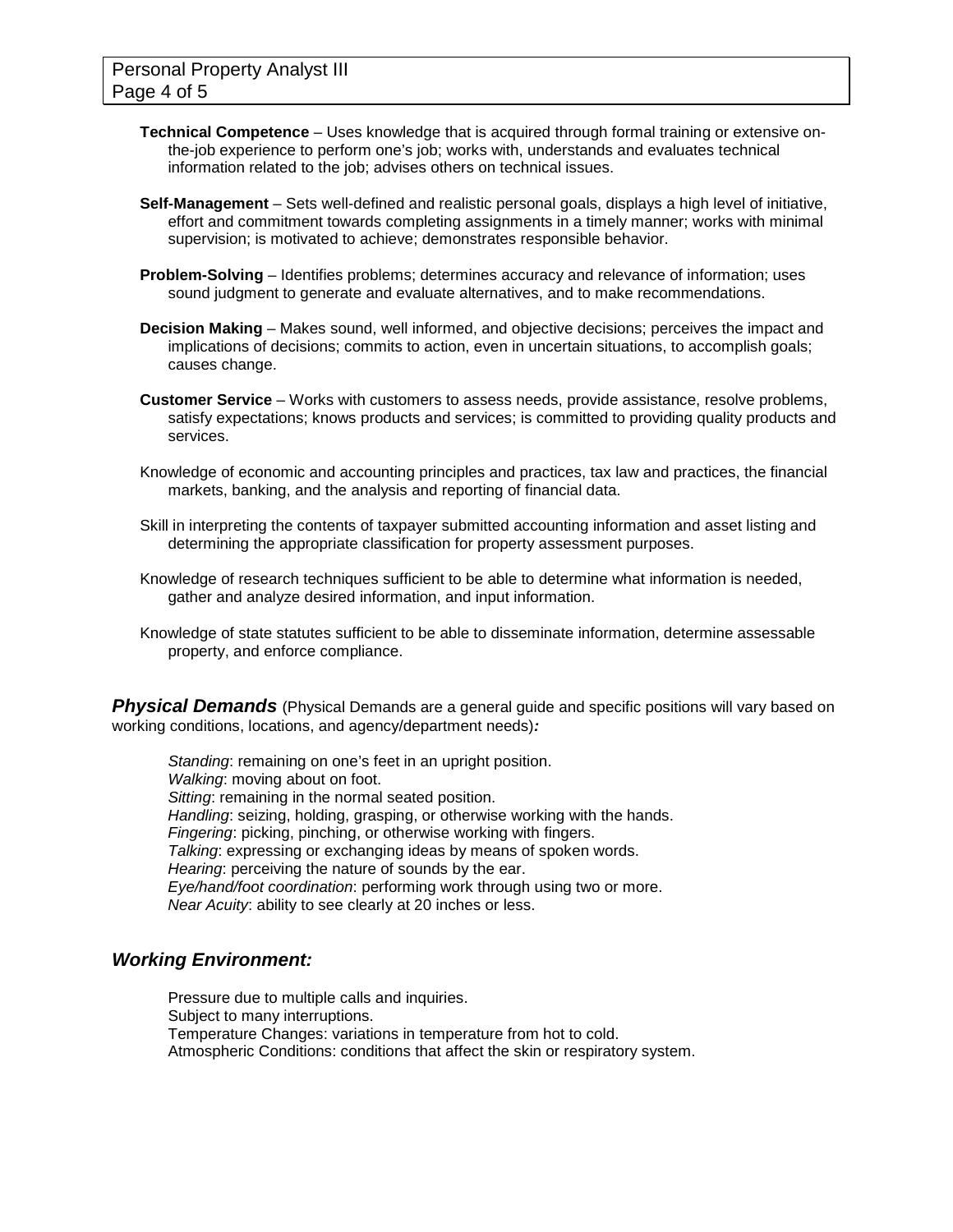- **Technical Competence** Uses knowledge that is acquired through formal training or extensive onthe-job experience to perform one's job; works with, understands and evaluates technical information related to the job; advises others on technical issues.
- **Self-Management** Sets well-defined and realistic personal goals, displays a high level of initiative, effort and commitment towards completing assignments in a timely manner; works with minimal supervision; is motivated to achieve; demonstrates responsible behavior.
- **Problem-Solving** Identifies problems; determines accuracy and relevance of information; uses sound judgment to generate and evaluate alternatives, and to make recommendations.
- **Decision Making** Makes sound, well informed, and objective decisions; perceives the impact and implications of decisions; commits to action, even in uncertain situations, to accomplish goals; causes change.
- **Customer Service**  Works with customers to assess needs, provide assistance, resolve problems, satisfy expectations; knows products and services; is committed to providing quality products and services.
- Knowledge of economic and accounting principles and practices, tax law and practices, the financial markets, banking, and the analysis and reporting of financial data.
- Skill in interpreting the contents of taxpayer submitted accounting information and asset listing and determining the appropriate classification for property assessment purposes.
- Knowledge of research techniques sufficient to be able to determine what information is needed, gather and analyze desired information, and input information.
- Knowledge of state statutes sufficient to be able to disseminate information, determine assessable property, and enforce compliance.

**Physical Demands** (Physical Demands are a general guide and specific positions will vary based on working conditions, locations, and agency/department needs)*:*

*Standing*: remaining on one's feet in an upright position. *Walking*: moving about on foot. *Sitting*: remaining in the normal seated position. *Handling*: seizing, holding, grasping, or otherwise working with the hands. *Fingering*: picking, pinching, or otherwise working with fingers. *Talking*: expressing or exchanging ideas by means of spoken words. *Hearing*: perceiving the nature of sounds by the ear. *Eye/hand/foot coordination*: performing work through using two or more. *Near Acuity*: ability to see clearly at 20 inches or less.

### *Working Environment:*

Pressure due to multiple calls and inquiries. Subject to many interruptions. Temperature Changes: variations in temperature from hot to cold. Atmospheric Conditions: conditions that affect the skin or respiratory system.